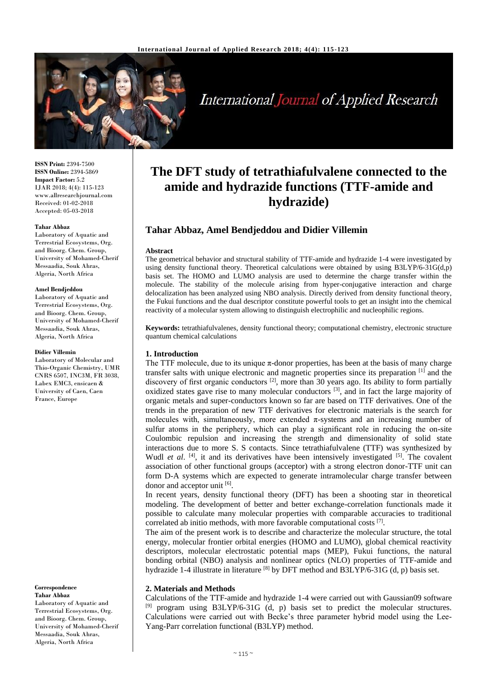

# **International Journal of Applied Research**

**ISSN Print:** 2394-7500 **ISSN Online:** 2394-5869 **Impact Factor:** 5.2 IJAR 2018; 4(4): 115-123 www.allresearchjournal.com Received: 01-02-2018 Accepted: 05-03-2018

#### **Tahar Abbaz**

Laboratory of Aquatic and Terrestrial Ecosystems, Org. and Bioorg. Chem. Group, University of Mohamed-Cherif Messaadia, Souk Ahras, Algeria, North Africa

#### **Amel Bendjeddou**

Laboratory of Aquatic and Terrestrial Ecosystems, Org. and Bioorg. Chem. Group, University of Mohamed-Cherif Messaadia, Souk Ahras, Algeria, North Africa

#### **Didier Villemin**

Laboratory of Molecular and Thio-Organic Chemistry, UMR CNRS 6507, INC3M, FR 3038, Labex EMC3, ensicaen & University of Caen, Caen France, Europe

#### **Correspondence Tahar Abbaz**

Laboratory of Aquatic and Terrestrial Ecosystems, Org. and Bioorg. Chem. Group, University of Mohamed-Cherif Messaadia, Souk Ahras, Algeria, North Africa

## **The DFT study of tetrathiafulvalene connected to the amide and hydrazide functions (TTF-amide and hydrazide)**

## **Tahar Abbaz, Amel Bendjeddou and Didier Villemin**

#### **Abstract**

The geometrical behavior and structural stability of TTF-amide and hydrazide 1-4 were investigated by using density functional theory. Theoretical calculations were obtained by using B3LYP/6-31G(d,p) basis set. The HOMO and LUMO analysis are used to determine the charge transfer within the molecule. The stability of the molecule arising from hyper-conjugative interaction and charge delocalization has been analyzed using NBO analysis. Directly derived from density functional theory, the Fukui functions and the dual descriptor constitute powerful tools to get an insight into the chemical reactivity of a molecular system allowing to distinguish electrophilic and nucleophilic regions.

**Keywords:** tetrathiafulvalenes, density functional theory; computational chemistry, electronic structure quantum chemical calculations

## **1. Introduction**

The TTF molecule, due to its unique  $\pi$ -donor properties, has been at the basis of many charge transfer salts with unique electronic and magnetic properties since its preparation [1] and the discovery of first organic conductors  $[2]$ , more than 30 years ago. Its ability to form partially oxidized states gave rise to many molecular conductors  $[3]$ , and in fact the large majority of organic metals and super-conductors known so far are based on TTF derivatives. One of the trends in the preparation of new TTF derivatives for electronic materials is the search for molecules with, simultaneously, more extended π-systems and an increasing number of sulfur atoms in the periphery, which can play a significant role in reducing the on-site Coulombic repulsion and increasing the strength and dimensionality of solid state interactions due to more S. S contacts. Since tetrathiafulvalene (TTF) was synthesized by Wudl *et al.* <sup>[4]</sup>, it and its derivatives have been intensively investigated <sup>[5]</sup>. The covalent association of other functional groups (acceptor) with a strong electron donor-TTF unit can form D-A systems which are expected to generate intramolecular charge transfer between donor and acceptor unit [6].

In recent years, density functional theory (DFT) has been a shooting star in theoretical modeling. The development of better and better exchange-correlation functionals made it possible to calculate many molecular properties with comparable accuracies to traditional correlated ab initio methods, with more favorable computational costs [7].

The aim of the present work is to describe and characterize the molecular structure, the total energy, molecular frontier orbital energies (HOMO and LUMO), global chemical reactivity descriptors, molecular electrostatic potential maps (MEP), Fukui functions, the natural bonding orbital (NBO) analysis and nonlinear optics (NLO) properties of TTF-amide and hydrazide 1-4 illustrate in literature <sup>[8]</sup> by DFT method and B3LYP/6-31G (d, p) basis set.

#### **2. Materials and Methods**

Calculations of the TTF-amide and hydrazide 1-4 were carried out with Gaussian09 software [9] program using B3LYP/6-31G (d, p) basis set to predict the molecular structures. Calculations were carried out with Becke's three parameter hybrid model using the Lee-Yang-Parr correlation functional (B3LYP) method.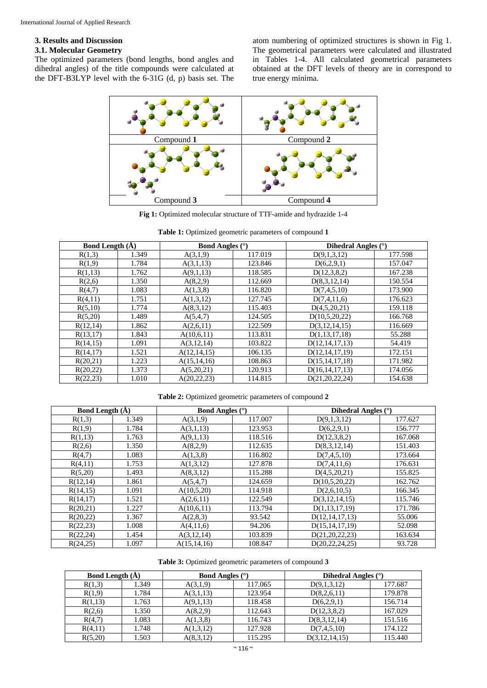## **3. Results and Discussion**

## **3.1. Molecular Geometry**

The optimized parameters (bond lengths, bond angles and dihedral angles) of the title compounds were calculated at the DFT-B3LYP level with the 6-31G (d, p) basis set. The atom numbering of optimized structures is shown in Fig 1. The geometrical parameters were calculated and illustrated in Tables 1-4. All calculated geometrical parameters obtained at the DFT levels of theory are in correspond to true energy minima.



**Fig 1:** Optimized molecular structure of TTF-amide and hydrazide 1-4

| <b>Bond Length</b> $(A)$ |       | <b>Bond Angles</b> (°) |         | Dihedral Angles (°) |         |  |
|--------------------------|-------|------------------------|---------|---------------------|---------|--|
| R(1,3)                   | 1.349 | A(3,1,9)               | 117.019 | D(9,1,3,12)         | 177.598 |  |
| R(1,9)                   | 1.784 | A(3,1,13)              | 123.846 | D(6,2,9,1)          | 157.047 |  |
| R(1,13)                  | 1.762 | A(9,1,13)              | 118.585 | D(12,3,8,2)         | 167.238 |  |
| R(2,6)                   | 1.350 | A(8,2,9)               | 112.669 | D(8,3,12,14)        | 150.554 |  |
| R(4,7)                   | 1.083 | A(1,3,8)               | 116.820 | D(7, 4, 5, 10)      | 173.900 |  |
| R(4,11)                  | 1.751 | A(1,3,12)              | 127.745 | D(7,4,11,6)         | 176.623 |  |
| R(5,10)                  | 1.774 | A(8,3,12)              | 115.403 | D(4,5,20,21)        | 159.118 |  |
| R(5,20)                  | 1.489 | A(5,4,7)               | 124.505 | D(10,5,20,22)       | 166.768 |  |
| R(12,14)                 | 1.862 | A(2,6,11)              | 122.509 | D(3,12,14,15)       | 116.669 |  |
| R(13,17)                 | 1.843 | A(10,6,11)             | 113.831 | D(1,13,17,18)       | 55.288  |  |
| R(14,15)                 | 1.091 | A(3,12,14)             | 103.822 | D(12, 14, 17, 13)   | 54.419  |  |
| R(14,17)                 | 1.521 | A(12,14,15)            | 106.135 | D(12, 14, 17, 19)   | 172.151 |  |
| R(20,21)                 | 1.223 | A(15, 14, 16)          | 108.863 | D(15, 14, 17, 18)   | 171.982 |  |
| R(20,22)                 | 1.373 | A(5,20,21)             | 120.913 | D(16, 14, 17, 13)   | 174.056 |  |
| R(22,23)                 | 1.010 | A(20, 22, 23)          | 114.815 | D(21, 20, 22, 24)   | 154.638 |  |

|  |  |  | <b>Table 1:</b> Optimized geometric parameters of compound 1 |  |  |
|--|--|--|--------------------------------------------------------------|--|--|
|--|--|--|--------------------------------------------------------------|--|--|

## **Table 2:** Optimized geometric parameters of compound **2**

| <b>Bond Length</b> (A) |       | <b>Bond Angles</b> (°) |         | Dihedral Angles $(°)$ |         |  |
|------------------------|-------|------------------------|---------|-----------------------|---------|--|
| R(1,3)                 | 1.349 | A(3,1,9)               | 117.007 | D(9,1,3,12)           | 177.627 |  |
| R(1,9)                 | 1.784 | A(3,1,13)              | 123.953 | D(6,2,9,1)            | 156.777 |  |
| R(1,13)                | 1.763 | A(9,1,13)              | 118.516 | D(12,3,8,2)           | 167.068 |  |
| R(2,6)                 | 1.350 | A(8,2,9)               | 112.635 | D(8,3,12,14)          | 151.403 |  |
| R(4,7)                 | 1.083 | A(1,3,8)               | 116.802 | D(7, 4, 5, 10)        | 173.664 |  |
| R(4,11)                | 1.753 | A(1,3,12)              | 127.878 | D(7,4,11,6)           | 176.631 |  |
| R(5,20)                | 1.493 | A(8,3,12)              | 115.288 | D(4,5,20,21)          | 155.825 |  |
| R(12,14)               | 1.861 | A(5,4,7)               | 124.659 | D(10,5,20,22)         | 162.762 |  |
| R(14,15)               | 1.091 | A(10,5,20)             | 114.918 | D(2,6,10,5)           | 166.345 |  |
| R(14,17)               | 1.521 | A(2,6,11)              | 122.549 | D(3,12,14,15)         | 115.746 |  |
| R(20,21)               | 1.227 | A(10,6,11)             | 113.794 | D(1,13,17,19)         | 171.786 |  |
| R(20,22)               | 1.367 | A(2,8,3)               | 93.542  | D(12, 14, 17, 13)     | 55.006  |  |
| R(22,23)               | 1.008 | A(4,11,6)              | 94.206  | D(15, 14, 17, 19)     | 52.098  |  |
| R(22,24)               | 1.454 | A(3,12,14)             | 103.839 | D(21, 20, 22, 23)     | 163.634 |  |
| R(24,25)               | 1.097 | A(15, 14, 16)          | 108.847 | D(20, 22, 24, 25)     | 93.728  |  |

| <b>Table 3:</b> Optimized geometric parameters of compound 3 |  |  |
|--------------------------------------------------------------|--|--|
|--------------------------------------------------------------|--|--|

| <b>Bond Length (A)</b> |       | <b>Bond Angles</b> $(°)$ |         | Dihedral Angles $(°)$ |         |  |
|------------------------|-------|--------------------------|---------|-----------------------|---------|--|
| R(1,3)                 | 1.349 | A(3,1,9)                 | 117.065 | D(9,1,3,12)           | 177.687 |  |
| R(1,9)                 | 1.784 | A(3,1,13)                | 123.954 | D(8,2,6,11)           | 179.878 |  |
| R(1,13)                | 1.763 | A(9,1,13)                | 118.458 | D(6,2,9,1)            | 156.714 |  |
| R(2,6)                 | 1.350 | A(8,2,9)                 | 112.643 | D(12,3,8,2)           | 167.029 |  |
| R(4,7)                 | 1.083 | A(1,3,8)                 | 116.743 | D(8,3,12,14)          | 151.516 |  |
| R(4,11)                | 1.748 | A(1,3,12)                | 127.928 | D(7, 4, 5, 10)        | 174.122 |  |
| R(5,20)                | 1.503 | A(8,3,12)                | 115.295 | D(3,12,14,15)         | 115.440 |  |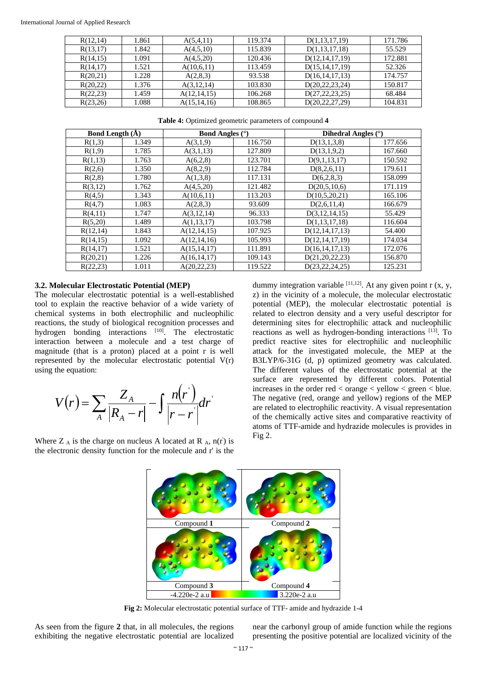| R(12,14) | 1.861 | A(5,4,11)     | 119.374 | D(1,13,17,19)     | 171.786 |
|----------|-------|---------------|---------|-------------------|---------|
| R(13,17) | 1.842 | A(4,5,10)     | 115.839 | D(1,13,17,18)     | 55.529  |
| R(14,15) | 1.091 | A(4,5,20)     | 120.436 | D(12, 14, 17, 19) | 172.881 |
| R(14,17) | 1.521 | A(10,6,11)    | 113.459 | D(15, 14, 17, 19) | 52.326  |
| R(20,21) | 1.228 | A(2,8,3)      | 93.538  | D(16, 14, 17, 13) | 174.757 |
| R(20,22) | 1.376 | A(3,12,14)    | 103.830 | D(20, 22, 23, 24) | 150.817 |
| R(22,23) | 1.459 | A(12,14,15)   | 106.268 | D(27, 22, 23, 25) | 68.484  |
| R(23,26) | 1.088 | A(15, 14, 16) | 108.865 | D(20, 22, 27, 29) | 104.831 |

| <b>Bond Length (A)</b> |       | <b>Bond Angles</b> $(°)$ |         | Dihedral Angles $(°)$ |         |  |
|------------------------|-------|--------------------------|---------|-----------------------|---------|--|
| 1.349<br>R(1,3)        |       | A(3,1,9)                 | 116.750 | D(13,1,3,8)           | 177.656 |  |
| R(1,9)                 | 1.785 | A(3,1,13)                | 127.809 | D(13,1,9,2)           | 167.660 |  |
| R(1,13)                | 1.763 | A(6,2,8)                 | 123.701 | D(9,1,13,17)          | 150.592 |  |
| R(2,6)                 | 1.350 | A(8,2,9)                 | 112.784 | D(8,2,6,11)           | 179.611 |  |
| R(2,8)                 | 1.780 | A(1,3,8)                 | 117.131 | D(6,2,8,3)            | 158.099 |  |
| R(3,12)                | 1.762 | A(4,5,20)                | 121.482 | D(20,5,10,6)          | 171.119 |  |
| R(4,5)                 | 1.343 | A(10,6,11)               | 113.203 | D(10,5,20,21)         | 165.106 |  |
| R(4,7)                 | 1.083 | A(2,8,3)                 | 93.609  | D(2,6,11,4)           | 166.679 |  |
| R(4,11)                | 1.747 | A(3,12,14)               | 96.333  | D(3,12,14,15)         | 55.429  |  |
| R(5,20)                | 1.489 | A(1,13,17)               | 103.798 | D(1,13,17,18)         | 116.604 |  |
| R(12,14)               | 1.843 | A(12,14,15)              | 107.925 | D(12, 14, 17, 13)     | 54.400  |  |
| R(14,15)               | 1.092 | A(12,14,16)              | 105.993 | D(12, 14, 17, 19)     | 174.034 |  |
| R(14,17)               | 1.521 | A(15, 14, 17)            | 111.891 | D(16, 14, 17, 13)     | 172.076 |  |
| R(20,21)               | 1.226 | A(16, 14, 17)            | 109.143 | D(21, 20, 22, 23)     | 156.870 |  |
| R(22,23)               | 1.011 | A(20, 22, 23)            | 119.522 | D(23, 22, 24, 25)     | 125.231 |  |

## **3.2. Molecular Electrostatic Potential (MEP)**

The molecular electrostatic potential is a well-established tool to explain the reactive behavior of a wide variety of chemical systems in both electrophilic and nucleophilic reactions, the study of biological recognition processes and hydrogen bonding interactions [10]. The electrostatic interaction between a molecule and a test charge of magnitude (that is a proton) placed at a point r is well represented by the molecular electrostatic potential V(r) using the equation:

$$
V(r) = \sum_{A} \frac{Z_A}{|R_A - r|} - \int \frac{n(r)}{|r - r|} dr
$$

Where  $Z_A$  is the charge on nucleus A located at R  $_A$ , n(r) is the electronic density function for the molecule and r' is the

dummy integration variable  $[11,12]$ . At any given point r  $(x, y, z)$ z) in the vicinity of a molecule, the molecular electrostatic potential (MEP), the molecular electrostatic potential is related to electron density and a very useful descriptor for determining sites for electrophilic attack and nucleophilic reactions as well as hydrogen-bonding interactions [13]. To predict reactive sites for electrophilic and nucleophilic attack for the investigated molecule, the MEP at the B3LYP/6-31G (d, p) optimized geometry was calculated. The different values of the electrostatic potential at the surface are represented by different colors. Potential increases in the order  $red <$  orange  $<$  yellow  $<$  green  $<$  blue. The negative (red, orange and yellow) regions of the MEP are related to electrophilic reactivity. A visual representation of the chemically active sites and comparative reactivity of atoms of TTF-amide and hydrazide molecules is provides in Fig 2.



**Fig 2:** Molecular electrostatic potential surface of TTF- amide and hydrazide 1-4

As seen from the figure **2** that, in all molecules, the regions exhibiting the negative electrostatic potential are localized

near the carbonyl group of amide function while the regions presenting the positive potential are localized vicinity of the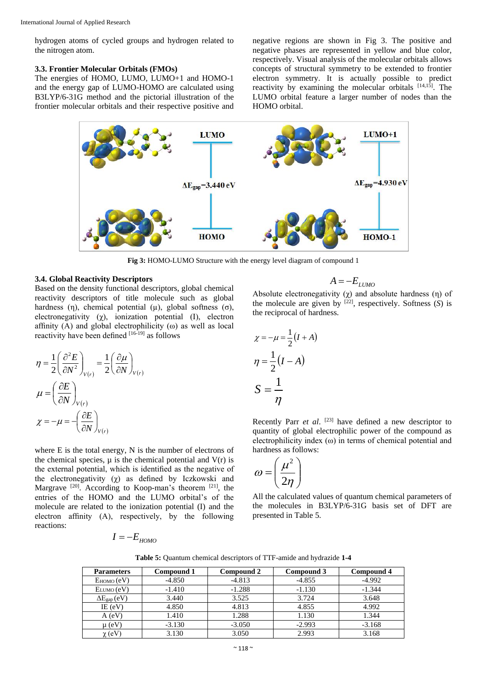hydrogen atoms of cycled groups and hydrogen related to the nitrogen atom.

## **3.3. Frontier Molecular Orbitals (FMOs)**

The energies of HOMO, LUMO, LUMO+1 and HOMO-1 and the energy gap of LUMO-HOMO are calculated using B3LYP/6-31G method and the pictorial illustration of the frontier molecular orbitals and their respective positive and negative regions are shown in Fig 3. The positive and negative phases are represented in yellow and blue color, respectively. Visual analysis of the molecular orbitals allows concepts of structural symmetry to be extended to frontier electron symmetry. It is actually possible to predict reactivity by examining the molecular orbitals  $[14,15]$ . The LUMO orbital feature a larger number of nodes than the HOMO orbital.



**Fig 3:** HOMO-LUMO Structure with the energy level diagram of compound 1

#### **3.4. Global Reactivity Descriptors**

Based on the density functional descriptors, global chemical reactivity descriptors of title molecule such as global hardness (η), chemical potential (μ), global softness (σ), electronegativity (χ), ionization potential (I), electron affinity (A) and global electrophilicity ( $\omega$ ) as well as local reactivity have been defined [16-19] as follows

$$
\eta = \frac{1}{2} \left( \frac{\partial^2 E}{\partial N^2} \right)_{V(r)} = \frac{1}{2} \left( \frac{\partial \mu}{\partial N} \right)_{V(r)}
$$

$$
\mu = \left( \frac{\partial E}{\partial N} \right)_{V(r)}
$$

$$
\chi = -\mu = -\left( \frac{\partial E}{\partial N} \right)_{V(r)}
$$

where E is the total energy, N is the number of electrons of the chemical species,  $\mu$  is the chemical potential and  $V(r)$  is the external potential, which is identified as the negative of the electronegativity  $( \chi )$  as defined by Iczkowski and Margrave  $[20]$ . According to Koop-man's theorem  $[21]$ , the entries of the HOMO and the LUMO orbital's of the molecule are related to the ionization potential (I) and the electron affinity (A), respectively, by the following reactions:

$$
I=-E_{\rm HOMO}
$$

$$
A = -E_{LUMO}
$$

Absolute electronegativity  $(\chi)$  and absolute hardness  $(\eta)$  of the molecule are given by  $^{[22]}$ , respectively. Softness  $(S)$  is the reciprocal of hardness.

$$
\chi = -\mu = \frac{1}{2}(I + A)
$$

$$
\eta = \frac{1}{2}(I - A)
$$

$$
S = \frac{1}{\eta}
$$

Recently Parr *et al*. [23] have defined a new descriptor to quantity of global electrophilic power of the compound as electrophilicity index (ω) in terms of chemical potential and hardness as follows:

$$
\omega = \left(\frac{\mu^2}{2\eta}\right)
$$

All the calculated values of quantum chemical parameters of the molecules in B3LYP/6-31G basis set of DFT are presented in Table 5.

|  |  | Table 5: Quantum chemical descriptors of TTF-amide and hydrazide 1-4 |
|--|--|----------------------------------------------------------------------|
|--|--|----------------------------------------------------------------------|

| <b>Parameters</b>         | Compound 1 | Compound 3<br>Compound 2 |          | Compound 4 |
|---------------------------|------------|--------------------------|----------|------------|
| $E_{HOMO}(eV)$            | $-4.850$   | $-4.813$                 | $-4.855$ | $-4.992$   |
| $E_{LUMO}(eV)$            | $-1.410$   | $-1.288$                 | $-1.130$ | $-1.344$   |
| $\Delta E_{\rm gap}$ (eV) | 3.440      | 3.525                    | 3.724    | 3.648      |
| IE (eV)                   | 4.850      | 4.813                    | 4.855    | 4.992      |
| A (eV)                    | 1.410      | 1.288                    | 1.130    | 1.344      |
| $\mu$ (eV)                | $-3.130$   | $-3.050$                 | $-2.993$ | $-3.168$   |
| $\chi$ (eV]               | 3.130      | 3.050                    | 2.993    | 3.168      |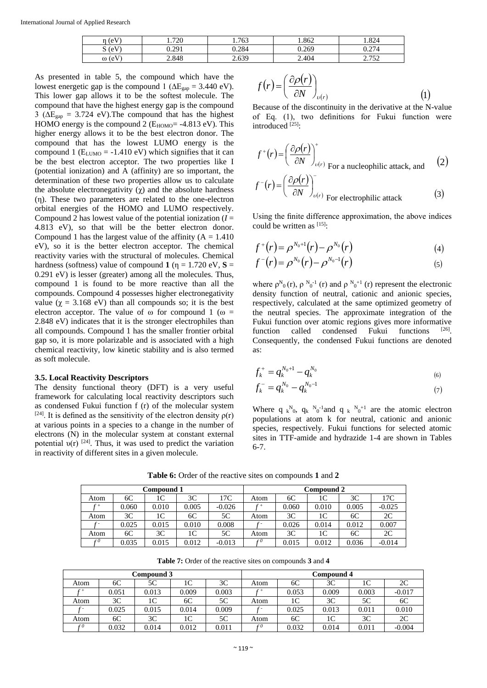| $\pm$ (eV)<br>n | 1.720 | 1.763 | 1.862 | 1.824        |
|-----------------|-------|-------|-------|--------------|
| $S$ (eV)<br>D.  | 0.291 | 0.284 | 0.269 | 274          |
| $\omega$ (eV)   | 2.848 | 2.639 | 2.404 | 752<br>ے رہے |

As presented in table 5, the compound which have the lowest energetic gap is the compound 1 ( $\Delta E_{\text{gan}} = 3.440 \text{ eV}$ ). This lower gap allows it to be the softest molecule. The compound that have the highest energy gap is the compound 3 ( $\Delta E_{\text{gap}} = 3.724$  eV). The compound that has the highest HOMO energy is the compound 2 ( $E_{HOMO}$ = -4.813 eV). This higher energy allows it to be the best electron donor. The compound that has the lowest LUMO energy is the compound 1 ( $E_{LUMO}$  = -1.410 eV) which signifies that it can be the best electron acceptor. The two properties like I (potential ionization) and A (affinity) are so important, the determination of these two properties allow us to calculate the absolute electronegativity (χ) and the absolute hardness (η). These two parameters are related to the one-electron orbital energies of the HOMO and LUMO respectively. Compound 2 has lowest value of the potential ionization  $(I =$ 4.813 eV), so that will be the better electron donor. Compound 1 has the largest value of the affinity  $(A = 1.410$ eV), so it is the better electron acceptor. The chemical reactivity varies with the structural of molecules. Chemical hardness (softness) value of compound **1** ( $\eta = 1.720$  eV, **S** = 0.291 eV) is lesser (greater) among all the molecules. Thus, compound 1 is found to be more reactive than all the compounds. Compound 4 possesses higher electronegativity value ( $\gamma = 3.168$  eV) than all compounds so; it is the best electron acceptor. The value of  $\omega$  for compound 1 ( $\omega$  = 2.848 eV) indicates that it is the stronger electrophiles than all compounds. Compound 1 has the smaller frontier orbital gap so, it is more polarizable and is associated with a high chemical reactivity, low kinetic stability and is also termed as soft molecule.

#### **3.5. Local Reactivity Descriptors**

The density functional theory (DFT) is a very useful framework for calculating local reactivity descriptors such as condensed Fukui function f (r) of the molecular system <sup>[24]</sup>. It is defined as the sensitivity of the electron density  $\rho(r)$ at various points in a species to a change in the number of electrons (N) in the molecular system at constant external potential  $v(r)$  <sup>[24]</sup>. Thus, it was used to predict the variation in reactivity of different sites in a given molecule.

$$
f(r) = \left(\frac{\partial \rho(r)}{\partial N}\right)_{\nu(r)}
$$
 (1)

Because of the discontinuity in the derivative at the N-value of Eq. (1), two definitions for Fukui function were introduced<sup>[25]</sup>:

$$
f^{+}(r) = \left(\frac{\partial \rho(r)}{\partial N}\right)_{\nu(r)}^{+}
$$
  
For a nucleophilic attack, and  

$$
f^{-}(r) = \left(\frac{\partial \rho(r)}{\partial N}\right)_{\nu(r)}^{-}
$$
  
For electrophilic attack\n(3)

Using the finite difference approximation, the above indices could be written as  $[15]$ :

$$
f^{+}(r) = \rho^{N_0+1}(r) - \rho^{N_0}(r) \tag{4}
$$

$$
f^-(r) = \rho^{N_0}(r) - \rho^{N_0-1}(r) \tag{5}
$$

where  $\rho_{0}^{N}(\mathbf{r})$ ,  $\rho_{0}^{N_{0}^{-1}}(\mathbf{r})$  and  $\rho_{0}^{N_{0}+1}(\mathbf{r})$  represent the electronic density function of neutral, cationic and anionic species, respectively, calculated at the same optimized geometry of the neutral species. The approximate integration of the Fukui function over atomic regions gives more informative function called condensed Fukui functions . Consequently, the condensed Fukui functions are denoted as:

$$
f_k^+ = q_k^{N_0+1} - q_k^{N_0} \tag{6}
$$

$$
f_k^- = q_k^{N_0} - q_k^{N_0 - 1} \tag{7}
$$

Where q  $k^{N_0}$ , q <sup>N</sup><sub>0</sub><sup>-1</sup> and q  $k^{N_0+1}$  are the atomic electron populations at atom k for neutral, cationic and anionic species, respectively. Fukui functions for selected atomic sites in TTF-amide and hydrazide 1-4 are shown in Tables 6-7.

**Table 6:** Order of the reactive sites on compounds **1** and **2**

|                 | Compound 1 |       |       |          | Compound 2 |       |       |       |          |
|-----------------|------------|-------|-------|----------|------------|-------|-------|-------|----------|
| Atom            | 6С         | 1C    | 3C    | 17C      | Atom       | 6С    | 1C    | 3C    | 17C      |
| $\mathcal{L} +$ | 0.060      | 0.010 | 0.005 | $-0.026$ |            | 0.060 | 0.010 | 0.005 | $-0.025$ |
| Atom            | 3C         | 1C    | 6C    | 5C       | Atom       | 3C    | 1C    | 6C    | 2C       |
|                 | 0.025      | 0.015 | 0.010 | 0.008    |            | 0.026 | 0.014 | 0.012 | 0.007    |
| Atom            | 6C         | 3C    | 1C    | 5C       | Atom       | 3C    | 1C    | 6C    | 2C       |
| c0              | 0.035      | 0.015 | 0.012 | $-0.013$ | r ()       | 0.015 | 0.012 | 0.036 | $-0.014$ |

**Table 7:** Order of the reactive sites on compounds **3** and **4**

| Compound 3 |       |       |       | Compound 4 |                 |       |       |       |          |
|------------|-------|-------|-------|------------|-----------------|-------|-------|-------|----------|
| Atom       | 6C    | 5C    | 1C    | 3C         | Atom            | 6C    | 3C    |       | 2C       |
|            | 0.051 | 0.013 | 0.009 | 0.003      |                 | 0.053 | 0.009 | 0.003 | $-0.017$ |
| Atom       | 3C    | 1C    | 6C    | 5C         | Atom            | 1C    | 3C    | 5C    | 6C       |
|            | 0.025 | 0.015 | 0.014 | 0.009      |                 | 0.025 | 0.013 | 0.011 | 0.010    |
| Atom       | 6C    | 3C    | 1C    | 5C         | Atom            | 6C    | 1C    | 3C    | 2C       |
| cθ         | 0.032 | 0.014 | 0.012 | 0.011      | $\mathcal{L}^0$ | 0.032 | 0.014 | 0.011 | $-0.004$ |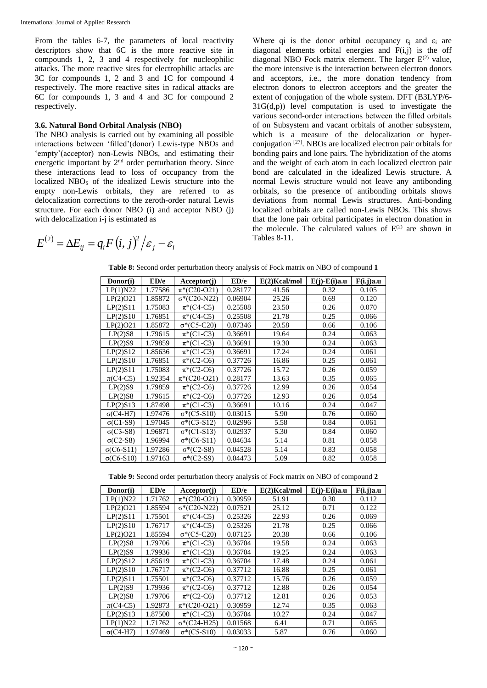From the tables 6-7, the parameters of local reactivity descriptors show that 6C is the more reactive site in compounds 1, 2, 3 and 4 respectively for nucleophilic attacks. The more reactive sites for electrophilic attacks are 3C for compounds 1, 2 and 3 and 1C for compound 4 respectively. The more reactive sites in radical attacks are 6C for compounds 1, 3 and 4 and 3C for compound 2 respectively.

## **3.6. Natural Bond Orbital Analysis (NBO)**

The NBO analysis is carried out by examining all possible interactions between 'filled'(donor) Lewis-type NBOs and 'empty'(acceptor) non-Lewis NBOs, and estimating their energetic important by  $2<sup>nd</sup>$  order perturbation theory. Since these interactions lead to loss of occupancy from the localized NBO<sub>S</sub> of the idealized Lewis structure into the empty non-Lewis orbitals, they are referred to as delocalization corrections to the zeroth-order natural Lewis structure. For each donor NBO (i) and acceptor NBO (j) with delocalization *i-j* is estimated as

Where qi is the donor orbital occupancy  $\varepsilon_i$  and  $\varepsilon_i$  are diagonal elements orbital energies and  $F(i,j)$  is the off diagonal NBO Fock matrix element. The larger  $E^{(2)}$  value, the more intensive is the interaction between electron donors and acceptors, i.e., the more donation tendency from electron donors to electron acceptors and the greater the extent of conjugation of the whole system. DFT (B3LYP/6-  $31G(d,p)$ ) level computation is used to investigate the various second-order interactions between the filled orbitals of on Subsystem and vacant orbitals of another subsystem, which is a measure of the delocalization or hyperconjugation [27]. NBOs are localized electron pair orbitals for bonding pairs and lone pairs. The hybridization of the atoms and the weight of each atom in each localized electron pair bond are calculated in the idealized Lewis structure. A normal Lewis structure would not leave any antibonding orbitals, so the presence of antibonding orbitals shows deviations from normal Lewis structures. Anti-bonding localized orbitals are called non-Lewis NBOs. This shows that the lone pair orbital participates in electron donation in the molecule. The calculated values of  $E^{(2)}$  are shown in Tables 8-11.

$$
E^{(2)} = \Delta E_{ij} = q_i F(i, j)^2 / \varepsilon_j - \varepsilon_i
$$

**Table 8:** Second order perturbation theory analysis of Fock matrix on NBO of compound **1**

| Donor(i)          | ED/e    | Acceptor(j)         | ED/e    | $E(2)$ Kcal/mol | $E(j)$ - $E(i)$ a.u | F(i,j)a.u |
|-------------------|---------|---------------------|---------|-----------------|---------------------|-----------|
| LP(1)N22          | 1.77586 | $\pi^*(C20-021)$    | 0.28177 | 41.56           | 0.32                | 0.105     |
| LP(2)O21          | 1.85872 | $\sigma^*(C20-N22)$ | 0.06904 | 25.26           | 0.69                | 0.120     |
| LP(2)S11          | 1.75083 | $\pi^*(C4-C5)$      | 0.25508 | 23.50           | 0.26                | 0.070     |
| LP(2)S10          | 1.76851 | $\pi^*(C4-C5)$      | 0.25508 | 21.78           | 0.25                | 0.066     |
| LP(2)O21          | 1.85872 | $\sigma^*(C5-C20)$  | 0.07346 | 20.58           | 0.66                | 0.106     |
| $LP(2)$ S8        | 1.79615 | $\pi^*(C1-C3)$      | 0.36691 | 19.64           | 0.24                | 0.063     |
| LP(2)S9           | 1.79859 | $\pi^*(C1-C3)$      | 0.36691 | 19.30           | 0.24                | 0.063     |
| LP(2)S12          | 1.85636 | $\pi^*(C1-C3)$      | 0.36691 | 17.24           | 0.24                | 0.061     |
| LP(2)S10          | 1.76851 | $\pi^*(C2-C6)$      | 0.37726 | 16.86           | 0.25                | 0.061     |
| LP(2)S11          | 1.75083 | $\pi^*(C2-C6)$      | 0.37726 | 15.72           | 0.26                | 0.059     |
| $\pi$ (C4-C5)     | 1.92354 | $\pi^*(C20-021)$    | 0.28177 | 13.63           | 0.35                | 0.065     |
| LP(2)S9           | 1.79859 | $\pi^*(C2-C6)$      | 0.37726 | 12.99           | 0.26                | 0.054     |
| $LP(2)$ S8        | 1.79615 | $\pi^*(C2-C6)$      | 0.37726 | 12.93           | 0.26                | 0.054     |
| LP(2)S13          | 1.87498 | $\pi^*(C1-C3)$      | 0.36691 | 10.16           | 0.24                | 0.047     |
| $\sigma$ (C4-H7)  | 1.97476 | $\sigma^*(C5-S10)$  | 0.03015 | 5.90            | 0.76                | 0.060     |
| $\sigma$ (C1-S9)  | 1.97045 | $\sigma^*(C3-S12)$  | 0.02996 | 5.58            | 0.84                | 0.061     |
| $\sigma$ (C3-S8)  | 1.96871 | $\sigma^*(C1-S13)$  | 0.02937 | 5.30            | 0.84                | 0.060     |
| $\sigma(C2-S8)$   | 1.96994 | $\sigma^*(C6-S11)$  | 0.04634 | 5.14            | 0.81                | 0.058     |
| $\sigma$ (C6-S11) | 1.97286 | $\sigma^*(C2-S8)$   | 0.04528 | 5.14            | 0.83                | 0.058     |
| $\sigma$ (C6-S10) | 1.97163 | $\sigma^*(C2-S9)$   | 0.04473 | 5.09            | 0.82                | 0.058     |

**Table 9:** Second order perturbation theory analysis of Fock matrix on NBO of compound **2**

| Donor(i)         | ED/e    | Acceptor(j)         | ED/e    | $E(2)$ Kcal/mol | $E(j)$ - $E(i)$ a.u | F(i,j)a.u |
|------------------|---------|---------------------|---------|-----------------|---------------------|-----------|
| LP(1)N22         | 1.71762 | $\pi^*(C20-021)$    | 0.30959 | 51.91           | 0.30                | 0.112     |
| LP(2)O21         | 1.85594 | $\sigma^*(C20-N22)$ | 0.07521 | 25.12           | 0.71                | 0.122     |
| LP(2)S11         | 1.75501 | $\pi^*(C4-C5)$      | 0.25326 | 22.93           | 0.26                | 0.069     |
| LP(2)S10         | 1.76717 | $\pi^*(C4-C5)$      | 0.25326 | 21.78           | 0.25                | 0.066     |
| LP(2)O21         | 1.85594 | $\sigma^*(C5-C20)$  | 0.07125 | 20.38           | 0.66                | 0.106     |
| LP(2)S8          | 1.79706 | $\pi^*(C1-C3)$      | 0.36704 | 19.58           | 0.24                | 0.063     |
| LP(2)S9          | 1.79936 | $\pi^*(C1-C3)$      | 0.36704 | 19.25           | 0.24                | 0.063     |
| LP(2)S12         | 1.85619 | $\pi^*(C1-C3)$      | 0.36704 | 17.48           | 0.24                | 0.061     |
| LP(2)S10         | 1.76717 | $\pi^*(C2-C6)$      | 0.37712 | 16.88           | 0.25                | 0.061     |
| LP(2)S11         | 1.75501 | $\pi^*(C2-C6)$      | 0.37712 | 15.76           | 0.26                | 0.059     |
| LP(2)S9          | 1.79936 | $\pi^*(C2-C6)$      | 0.37712 | 12.88           | 0.26                | 0.054     |
| LP(2)S8          | 1.79706 | $\pi^*(C2-C6)$      | 0.37712 | 12.81           | 0.26                | 0.053     |
| $\pi$ (C4-C5)    | 1.92873 | $\pi^*(C20-021)$    | 0.30959 | 12.74           | 0.35                | 0.063     |
| LP(2)S13         | 1.87500 | $\pi^*(C1-C3)$      | 0.36704 | 10.27           | 0.24                | 0.047     |
| LP(1)N22         | 1.71762 | $\sigma^*(C24-H25)$ | 0.01568 | 6.41            | 0.71                | 0.065     |
| $\sigma$ (C4-H7) | 1.97469 | $\sigma^*(C5-S10)$  | 0.03033 | 5.87            | 0.76                | 0.060     |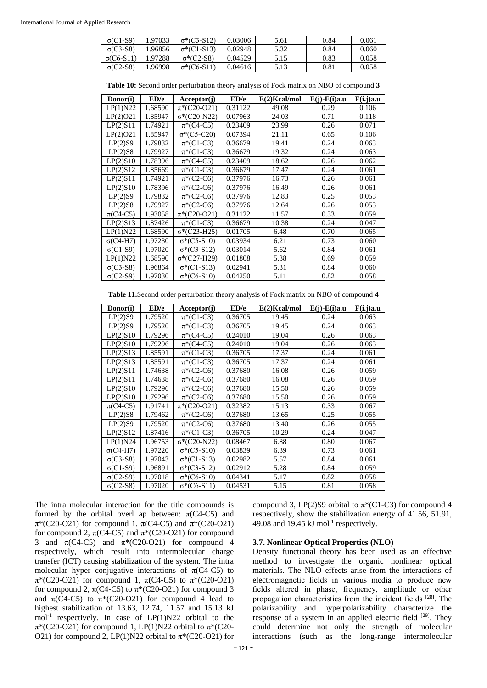| $\sigma$ (C1-S9)  | 1.97033 | $\sigma^*(C3-S12)$ | 0.03006 | 5.61 | 0.84 | 0.061 |
|-------------------|---------|--------------------|---------|------|------|-------|
| $\sigma$ (C3-S8)  | 1.96856 | $\sigma^*(C1-S13)$ | 0.02948 | 5.32 | 0.84 | 0.060 |
| $\sigma$ (C6-S11) | 1.97288 | $\sigma^*(C2-S8)$  | 0.04529 | 5.15 | 0.83 | 0.058 |
| $\sigma(C2-S8)$   | 1.96998 | $\sigma^*(C6-S11)$ | 0.04616 | 5.13 | 0.81 | 0.058 |

**Table 10:** Second order perturbation theory analysis of Fock matrix on NBO of compound **3**

| Donor(i)         | ED/e    | Acceptor(j)         | ED/e    | $E(2)$ Kcal/mol | $E(j)$ - $E(i)$ a.u | F(i,j)a.u |
|------------------|---------|---------------------|---------|-----------------|---------------------|-----------|
| LP(1)N22         | 1.68590 | $\pi^*(C20-021)$    | 0.31122 | 49.08           | 0.29                | 0.106     |
| LP(2)O21         | 1.85947 | $\sigma^*(C20-N22)$ | 0.07963 | 24.03           | 0.71                | 0.118     |
| LP(2)S11         | 1.74921 | $\pi^*(C4-C5)$      | 0.23409 | 23.99           | 0.26                | 0.071     |
| LP(2)O21         | 1.85947 | $\sigma^*(C5-C20)$  | 0.07394 | 21.11           | 0.65                | 0.106     |
| LP(2)S9          | 1.79832 | $\pi^*(C1-C3)$      | 0.36679 | 19.41           | 0.24                | 0.063     |
| $LP(2)$ S8       | 1.79927 | $\pi^*(C1-C3)$      | 0.36679 | 19.32           | 0.24                | 0.063     |
| LP(2)S10         | 1.78396 | $\pi^*(C4-C5)$      | 0.23409 | 18.62           | 0.26                | 0.062     |
| LP(2)S12         | 1.85669 | $\pi^*(C1-C3)$      | 0.36679 | 17.47           | 0.24                | 0.061     |
| LP(2)S11         | 1.74921 | $\pi^*(C2-C6)$      | 0.37976 | 16.73           | 0.26                | 0.061     |
| LP(2)S10         | 1.78396 | $\pi^*(C2-C6)$      | 0.37976 | 16.49           | 0.26                | 0.061     |
| LP(2)S9          | 1.79832 | $\pi^*(C2-C6)$      | 0.37976 | 12.83           | 0.25                | 0.053     |
| $LP(2)$ S8       | 1.79927 | $\pi^*(C2-C6)$      | 0.37976 | 12.64           | 0.26                | 0.053     |
| $\pi$ (C4-C5)    | 1.93058 | $\pi^*(C20-021)$    | 0.31122 | 11.57           | 0.33                | 0.059     |
| LP(2)S13         | 1.87426 | $\pi^*(C1-C3)$      | 0.36679 | 10.38           | 0.24                | 0.047     |
| LP(1)N22         | 1.68590 | $\sigma^*(C23-H25)$ | 0.01705 | 6.48            | 0.70                | 0.065     |
| $\sigma$ (C4-H7) | 1.97230 | $\sigma^*(C5-S10)$  | 0.03934 | 6.21            | 0.73                | 0.060     |
| $\sigma$ (C1-S9) | 1.97020 | $\sigma^*(C3-S12)$  | 0.03014 | 5.62            | 0.84                | 0.061     |
| LP(1)N22         | 1.68590 | $\sigma^*(C27-H29)$ | 0.01808 | 5.38            | 0.69                | 0.059     |
| $\sigma$ (C3-S8) | 1.96864 | $\sigma^*(C1-S13)$  | 0.02941 | 5.31            | 0.84                | 0.060     |
| $\sigma(C2-S9)$  | 1.97030 | $\sigma^*(C6-S10)$  | 0.04250 | 5.11            | 0.82                | 0.058     |

**Table 11.**Second order perturbation theory analysis of Fock matrix on NBO of compound **4**

| Donor(i)         | ED/e    | Acceptor(j)         | ED/e    | $E(2)$ Kcal/mol | $E(j)$ - $E(i)$ a.u | F(i,j)a.u |
|------------------|---------|---------------------|---------|-----------------|---------------------|-----------|
| LP(2)S9          | 1.79520 | $\pi^*(C1-C3)$      | 0.36705 | 19.45           | 0.24                | 0.063     |
| LP(2)S9          | 1.79520 | $\pi^*(C1-C3)$      | 0.36705 | 19.45           | 0.24                | 0.063     |
| LP(2)S10         | 1.79296 | $\pi^*(C4-C5)$      | 0.24010 | 19.04           | 0.26                | 0.063     |
| LP(2)S10         | 1.79296 | $\pi^*(C4-C5)$      | 0.24010 | 19.04           | 0.26                | 0.063     |
| LP(2)S13         | 1.85591 | $\pi^*(C1-C3)$      | 0.36705 | 17.37           | 0.24                | 0.061     |
| LP(2)S13         | 1.85591 | $\pi^*(C1-C3)$      | 0.36705 | 17.37           | 0.24                | 0.061     |
| LP(2)S11         | 1.74638 | $\pi^*(C2-C6)$      | 0.37680 | 16.08           | 0.26                | 0.059     |
| LP(2)S11         | 1.74638 | $\pi^*(C2-C6)$      | 0.37680 | 16.08           | 0.26                | 0.059     |
| LP(2)S10         | 1.79296 | $\pi^*(C2-C6)$      | 0.37680 | 15.50           | 0.26                | 0.059     |
| LP(2)S10         | 1.79296 | $\pi^*(C2-C6)$      | 0.37680 | 15.50           | 0.26                | 0.059     |
| $\pi$ (C4-C5)    | 1.91741 | $\pi^*(C20-021)$    | 0.32382 | 15.13           | 0.33                | 0.067     |
| LP(2)S8          | 1.79462 | $\pi^*(C2-C6)$      | 0.37680 | 13.65           | 0.25                | 0.055     |
| LP(2)S9          | 1.79520 | $\pi^*(C2-C6)$      | 0.37680 | 13.40           | 0.26                | 0.055     |
| LP(2)S12         | 1.87416 | $\pi^*(C1-C3)$      | 0.36705 | 10.29           | 0.24                | 0.047     |
| LP(1)N24         | 1.96753 | $\sigma^*(C20-N22)$ | 0.08467 | 6.88            | 0.80                | 0.067     |
| $\sigma$ (C4-H7) | 1.97220 | $\sigma^*(C5-S10)$  | 0.03839 | 6.39            | 0.73                | 0.061     |
| $\sigma$ (C3-S8) | 1.97043 | $\sigma^*(C1-S13)$  | 0.02982 | 5.57            | 0.84                | 0.061     |
| $\sigma$ (C1-S9) | 1.96891 | $\sigma^*(C3-S12)$  | 0.02912 | 5.28            | 0.84                | 0.059     |
| $\sigma(C2-S9)$  | 1.97018 | $σ*(C6-S10)$        | 0.04341 | 5.17            | 0.82                | 0.058     |
| $\sigma(C2-S8)$  | 1.97020 | $\sigma^*(C6-S11)$  | 0.04531 | 5.15            | 0.81                | 0.058     |

The intra molecular interaction for the title compounds is formed by the orbital overl ap between:  $\pi$ (C4-C5) and π\*(C20-O21) for compound 1, π(C4-C5) and π\*(C20-O21) for compound 2,  $\pi$ (C4-C5) and  $\pi$ <sup>\*</sup>(C20-O21) for compound 3 and  $\pi$ (C4-C5) and  $\pi$ <sup>\*</sup>(C20-O21) for compound 4 respectively, which result into intermolecular charge transfer (ICT) causing stabilization of the system. The intra molecular hyper conjugative interactions of  $\pi$ (C4-C5) to π\*(C20-O21) for compound 1, π(C4-C5) to π\*(C20-O21) for compound 2,  $\pi$ (C4-C5) to  $\pi$ <sup>\*</sup>(C20-O21) for compound 3 and  $\pi$ (C4-C5) to  $\pi$ <sup>\*</sup>(C20-O21) for compound 4 lead to highest stabilization of 13.63, 12.74, 11.57 and 15.13 kJ  $mol^{-1}$  respectively. In case of  $LP(1)N22$  orbital to the π\*(C20-O21) for compound 1, LP(1)N22 orbital to π\*(C20- O21) for compound 2, LP(1)N22 orbital to  $\pi$ \*(C20-O21) for

compound 3, LP(2)S9 orbital to  $\pi^*(C1-C3)$  for compound 4 respectively, show the stabilization energy of 41.56, 51.91, 49.08 and 19.45 kJ mol<sup>-1</sup> respectively.

#### **3.7. Nonlinear Optical Properties (NLO)**

Density functional theory has been used as an effective method to investigate the organic nonlinear optical materials. The NLO effects arise from the interactions of electromagnetic fields in various media to produce new fields altered in phase, frequency, amplitude or other propagation characteristics from the incident fields [28]. The polarizability and hyperpolarizability characterize the response of a system in an applied electric field <sup>[29]</sup>. They could determine not only the strength of molecular interactions (such as the long-range intermolecular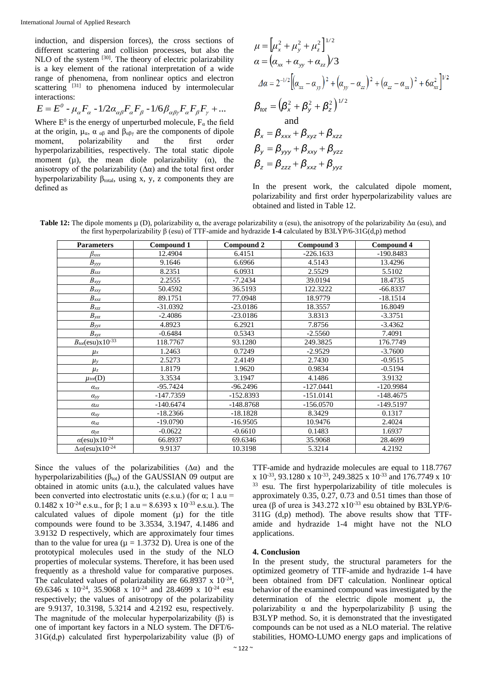induction, and dispersion forces), the cross sections of different scattering and collision processes, but also the NLO of the system  $[30]$ . The theory of electric polarizability is a key element of the rational interpretation of a wide range of phenomena, from nonlinear optics and electron scattering  $[31]$  to phenomena induced by intermolecular interactions:

$$
E = E^0 - \mu_\alpha F_\alpha - 1/2 \alpha_{\alpha\beta} F_\alpha F_\beta - 1/6 \beta_{\alpha\beta\gamma} F_\alpha F_\beta F_\gamma + \dots
$$

Where  $E^0$  is the energy of unperturbed molecule,  $F_\alpha$  the field at the origin,  $\mu_{\alpha}$ ,  $\alpha_{\alpha\beta}$  and  $\beta_{\alpha\beta\gamma}$  are the components of dipole moment, polarizability and the first order hyperpolarizabilities, respectively. The total static dipole moment ( $\mu$ ), the mean diole polarizability ( $\alpha$ ), the anisotropy of the polarizability  $(\Delta \alpha)$  and the total first order hyperpolarizability  $\beta_{total}$ , using x, y, z components they are defined as

$$
\mu = [\mu_x^2 + \mu_y^2 + \mu_z^2]^{1/2} \n\alpha = (\alpha_{xx} + \alpha_{yy} + \alpha_{zz})/3 \n\Delta\alpha = 2^{-1/2} [(\alpha_{xx} - \alpha_{yy})^2 + (\alpha_{yy} - \alpha_{zz})^2 + (\alpha_{zz} - \alpha_{xx})^2 + 6\alpha_{xx}^2]^{1/2} \n\beta_{tot} = (\beta_x^2 + \beta_y^2 + \beta_z^2)^{1/2} \n\alpha = \alpha_{\text{and}} \n\beta_x = \beta_{xxx} + \beta_{xyz} + \beta_{xzz} \n\beta_y = \beta_{yyy} + \beta_{xxy} + \beta_{yzz} \n\beta_z = \beta_{zzz} + \beta_{xxz} + \beta_{yyz}
$$

In the present work, the calculated dipole moment, polarizability and first order hyperpolarizability values are obtained and listed in Table 12.

**Table 12:** The dipole moments  $\mu$  (D), polarizability  $\alpha$ , the average polarizability  $\alpha$  (esu), the anisotropy of the polarizability  $\Delta \alpha$  (esu), and the first hyperpolarizability β (esu) of TTF-amide and hydrazide **1-4** calculated by B3LYP/6-31G(d,p) method

| <b>Parameters</b>                       | Compound 1  | Compound 2  | Compound 3  | Compound 4  |
|-----------------------------------------|-------------|-------------|-------------|-------------|
| $\beta_{xxx}$                           | 12.4904     | 6.4151      | $-226.1633$ | $-190.8483$ |
| $B_{yyy}$                               | 9.1646      | 6.6966      | 4.5143      | 13.4296     |
| $B_{zzz}$                               | 8.2351      | 6.0931      | 2.5529      | 5.5102      |
| $B_{xyy}$                               | 2.2555      | $-7.2434$   | 39.0194     | 18.4735     |
| $B_{xxy}$                               | 50.4592     | 36.5193     | 122.3222    | $-66.8337$  |
| $B_{xxz}$                               | 89.1751     | 77.0948     | 18.9779     | $-18.1514$  |
| $B_{xzz}$                               | $-31.0392$  | $-23.0186$  | 18.3557     | 16.8049     |
| $B_{yzz}$                               | $-2.4086$   | $-23.0186$  | 3.8313      | $-3.3751$   |
| $B_{yyz}$                               | 4.8923      | 6.2921      | 7.8756      | $-3.4362$   |
| $B_{xyz}$                               | $-0.6484$   | 0.5343      | $-2.5560$   | 7.4091      |
| $B_{tot}$ (esu)x $10^{-33}$             | 118.7767    | 93.1280     | 249.3825    | 176.7749    |
| $\mu$ x                                 | 1.2463      | 0.7249      | $-2.9529$   | $-3.7600$   |
| $\mu$ <sub>y</sub>                      | 2.5273      | 2.4149      | 2.7430      | $-0.9515$   |
| $\mu_z$                                 | 1.8179      | 1.9620      | 0.9834      | $-0.5194$   |
| $\mu_{tot}(D)$                          | 3.3534      | 3.1947      | 4.1486      | 3.9132      |
| $\alpha_{xx}$                           | $-95.7424$  | $-96.2496$  | $-127.0441$ | $-120.9984$ |
| $\alpha_{yy}$                           | -147.7359   | $-152.8393$ | $-151.0141$ | $-148.4675$ |
| $\alpha_{zz}$                           | $-140.6474$ | $-148.8768$ | $-156.0570$ | $-149.5197$ |
| $\alpha_{xy}$                           | $-18.2366$  | $-18.1828$  | 8.3429      | 0.1317      |
| $\alpha_{xz}$                           | $-19.0790$  | $-16.9505$  | 10.9476     | 2.4024      |
| $a_{yz}$                                | $-0.0622$   | $-0.6610$   | 0.1483      | 1.6937      |
| $\alpha$ (esu) $\overline{x10^{-24}}$   | 66.8937     | 69.6346     | 35.9068     | 28.4699     |
| $\Delta \alpha$ (esu)x10 <sup>-24</sup> | 9.9137      | 10.3198     | 5.3214      | 4.2192      |

Since the values of the polarizabilities  $(\Delta \alpha)$  and the hyperpolarizabilities ( $\beta_{\text{tot}}$ ) of the GAUSSIAN 09 output are obtained in atomic units (a.u.), the calculated values have been converted into electrostatic units (e.s.u.) (for  $\alpha$ ; 1 a.u = 0.1482 x 10<sup>-24</sup> e.s.u., for β; 1 a.u = 8.6393 x 10<sup>-33</sup> e.s.u.). The calculated values of dipole moment  $(\mu)$  for the title compounds were found to be 3.3534, 3.1947, 4.1486 and 3.9132 D respectively, which are approximately four times than to the value for urea ( $\mu = 1.3732$  D). Urea is one of the prototypical molecules used in the study of the NLO properties of molecular systems. Therefore, it has been used frequently as a threshold value for comparative purposes. The calculated values of polarizability are  $66.8937 \times 10^{-24}$ , 69.6346 x 10-24, 35.9068 x 10-24 and 28.4699 x 10-24 esu respectively; the values of anisotropy of the polarizability are 9.9137, 10.3198, 5.3214 and 4.2192 esu, respectively. The magnitude of the molecular hyperpolarizability (β) is one of important key factors in a NLO system. The DFT/6- 31G(d,p) calculated first hyperpolarizability value (β) of

TTF-amide and hydrazide molecules are equal to 118.7767 x 10<sup>-33</sup>, 93.1280 x 10<sup>-33</sup>, 249.3825 x 10<sup>-33</sup> and 176.7749 x 10<sup>-33</sup> <sup>33</sup> esu. The first hyperpolarizability of title molecules is approximately 0.35, 0.27, 0.73 and 0.51 times than those of urea (β of urea is  $343.272 \times 10^{-33}$  esu obtained by B3LYP/6-311G (d,p) method). The above results show that TTFamide and hydrazide 1-4 might have not the NLO applications.

#### **4. Conclusion**

In the present study, the structural parameters for the optimized geometry of TTF-amide and hydrazide 1-4 have been obtained from DFT calculation. Nonlinear optical behavior of the examined compound was investigated by the determination of the electric dipole moment µ, the polarizability  $\alpha$  and the hyperpolarizability  $\beta$  using the B3LYP method. So, it is demonstrated that the investigated compounds can be not used as a NLO material. The relative stabilities, HOMO-LUMO energy gaps and implications of